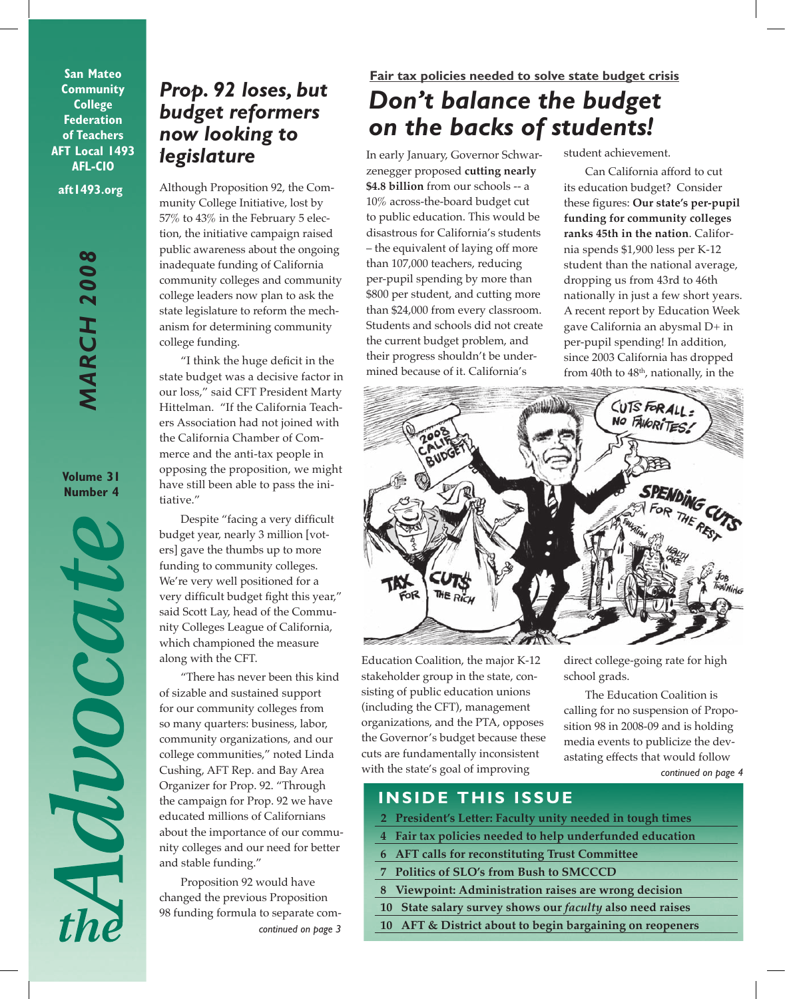**San Mateo Community College Federation of Teachers AFT Local 1493 AFL-CIO**

**aft1493.org**

*MARCH 2008* **MARCH 2008** 

**Volume 31 Number 4**

MOOCOUR

# . *legislature Prop. 92 loses, but budget reformers now looking to*

Although Proposition 92, the Community College Initiative, lost by 57% to 43% in the February 5 election, the initiative campaign raised public awareness about the ongoing inadequate funding of California community colleges and community college leaders now plan to ask the state legislature to reform the mechanism for determining community college funding.

"I think the huge deficit in the state budget was a decisive factor in our loss," said CFT President Marty Hittelman. "If the California Teachers Association had not joined with the California Chamber of Commerce and the anti-tax people in opposing the proposition, we might have still been able to pass the initiative."

Despite "facing a very difficult budget year, nearly 3 million [voters] gave the thumbs up to more funding to community colleges. We're very well positioned for a very difficult budget fight this year," said Scott Lay, head of the Community Colleges League of California, which championed the measure along with the CFT.

"There has never been this kind of sizable and sustained support for our community colleges from so many quarters: business, labor, community organizations, and our college communities," noted Linda Cushing, AFT Rep. and Bay Area Organizer for Prop. 92. "Through the campaign for Prop. 92 we have educated millions of Californians about the importance of our community colleges and our need for better and stable funding."

Proposition 92 would have changed the previous Proposition 98 funding formula to separate com*continued on page 3*

## **Fair tax policies needed to solve state budget crisis**

# *Don't balance the budget on the backs of students!*

In early January, Governor Schwarzenegger proposed **cutting nearly \$4.8 billion** from our schools -- a 10% across-the-board budget cut to public education. This would be disastrous for California's students – the equivalent of laying off more than 107,000 teachers, reducing per-pupil spending by more than \$800 per student, and cutting more than \$24,000 from every classroom. Students and schools did not create the current budget problem, and their progress shouldn't be undermined because of it. California's

student achievement.

Can California afford to cut its education budget? Consider these figures: **Our state's per-pupil funding for community colleges ranks 45th in the nation**. California spends \$1,900 less per K-12 student than the national average, dropping us from 43rd to 46th nationally in just a few short years. A recent report by Education Week gave California an abysmal D+ in per-pupil spending! In addition, since 2003 California has dropped from 40th to  $48<sup>th</sup>$ , nationally, in the



Education Coalition, the major K-12 stakeholder group in the state, consisting of public education unions (including the CFT), management organizations, and the PTA, opposes the Governor's budget because these cuts are fundamentally inconsistent with the state's goal of improving

direct college-going rate for high school grads.

*continued on page 4* The Education Coalition is calling for no suspension of Proposition 98 in 2008-09 and is holding media events to publicize the devastating effects that would follow

## **INSIDE THIS ISSUE**

- **2 President's Letter: Faculty unity needed in tough times**
- **4 Fair tax policies needed to help underfunded education**
- **6 AFT calls for reconstituting Trust Committee**
- **7 Politics of SLO's from Bush to SMCCCD**
- **8 Viewpoint: Administration raises are wrong decision** 
	- **10 State salary survey shows our** *faculty* **also need raises**
- **10 AFT & District about to begin bargaining on reopeners**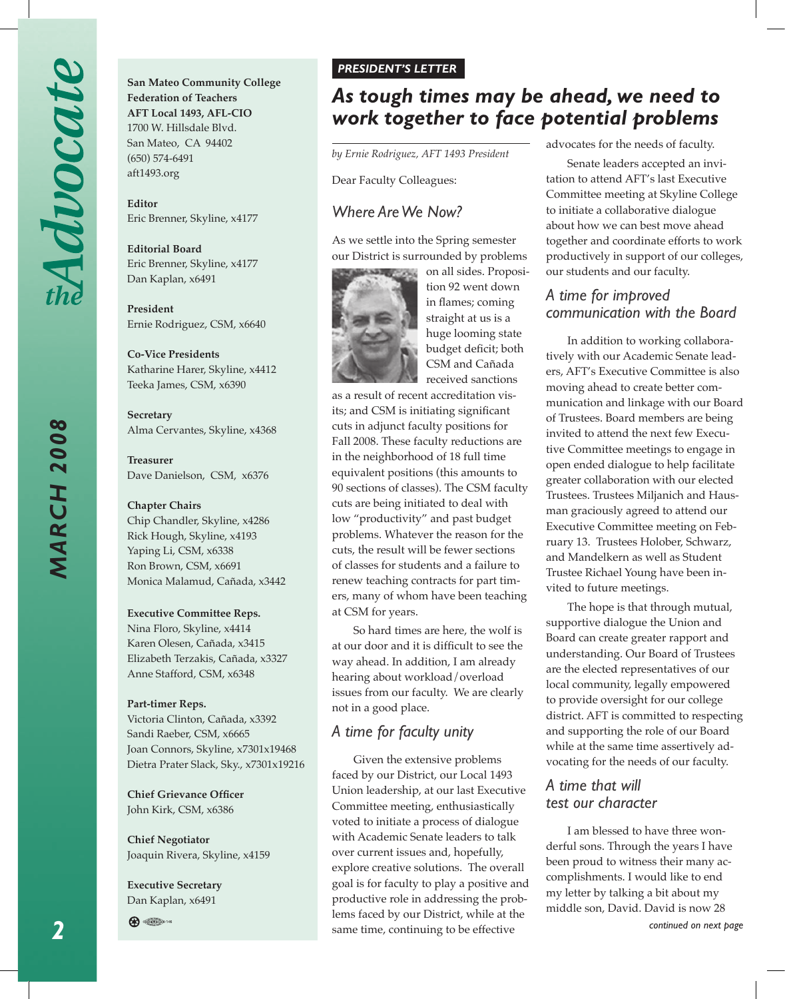*MARCH 2008*

**MARCH 2008** 

**San Mateo Community College Federation of Teachers AFT Local 1493, AFL-CIO** 1700 W. Hillsdale Blvd. San Mateo, CA 94402 (650) 574-6491 aft1493.org

**Editor**  Eric Brenner, Skyline, x4177

**Editorial Board** Eric Brenner, Skyline, x4177 Dan Kaplan, x6491

**President**  Ernie Rodriguez, CSM, x6640

**Co-Vice Presidents** Katharine Harer, Skyline, x4412 Teeka James, CSM, x6390

**Secretary** Alma Cervantes, Skyline, x4368

**Treasurer** Dave Danielson, CSM, x6376

### **Chapter Chairs**

Chip Chandler, Skyline, x4286 Rick Hough, Skyline, x4193 Yaping Li, CSM, x6338 Ron Brown, CSM, x6691 Monica Malamud, Cañada, x3442

### **Executive Committee Reps.**

Nina Floro, Skyline, x4414 Karen Olesen, Cañada, x3415 Elizabeth Terzakis, Cañada, x3327 Anne Stafford, CSM, x6348

### **Part-timer Reps.**

Victoria Clinton, Cañada, x3392 Sandi Raeber, CSM, x6665 Joan Connors, Skyline, x7301x19468 Dietra Prater Slack, Sky., x7301x19216

**Chief Grievance Officer** John Kirk, CSM, x6386

**Chief Negotiator** Joaquin Rivera, Skyline, x4159

**Executive Secretary** Dan Kaplan, x6491



### *PRESIDENT'S LETTER*

# *As tough times may be ahead, we need to work together to face potential problems*

*by Ernie Rodriguez, AFT 1493 President*

Dear Faculty Colleagues:

### *Where Are We Now?*

As we settle into the Spring semester our District is surrounded by problems



on all sides. Proposition 92 went down in flames; coming straight at us is a huge looming state budget deficit; both CSM and Cañada received sanctions

as a result of recent accreditation visits; and CSM is initiating significant cuts in adjunct faculty positions for Fall 2008. These faculty reductions are in the neighborhood of 18 full time equivalent positions (this amounts to 90 sections of classes). The CSM faculty cuts are being initiated to deal with low "productivity" and past budget problems. Whatever the reason for the cuts, the result will be fewer sections of classes for students and a failure to renew teaching contracts for part timers, many of whom have been teaching at CSM for years.

So hard times are here, the wolf is at our door and it is difficult to see the way ahead. In addition, I am already hearing about workload/overload issues from our faculty. We are clearly not in a good place.

### *A time for faculty unity*

Given the extensive problems faced by our District, our Local 1493 Union leadership, at our last Executive Committee meeting, enthusiastically voted to initiate a process of dialogue with Academic Senate leaders to talk over current issues and, hopefully, explore creative solutions. The overall goal is for faculty to play a positive and productive role in addressing the problems faced by our District, while at the same time, continuing to be effective

advocates for the needs of faculty.

Senate leaders accepted an invitation to attend AFT's last Executive Committee meeting at Skyline College to initiate a collaborative dialogue about how we can best move ahead together and coordinate efforts to work productively in support of our colleges, our students and our faculty.

### *A time for improved communication with the Board*

In addition to working collaboratively with our Academic Senate leaders, AFT's Executive Committee is also moving ahead to create better communication and linkage with our Board of Trustees. Board members are being invited to attend the next few Executive Committee meetings to engage in open ended dialogue to help facilitate greater collaboration with our elected Trustees. Trustees Miljanich and Hausman graciously agreed to attend our Executive Committee meeting on February 13. Trustees Holober, Schwarz, and Mandelkern as well as Student Trustee Richael Young have been invited to future meetings.

The hope is that through mutual, supportive dialogue the Union and Board can create greater rapport and understanding. Our Board of Trustees are the elected representatives of our local community, legally empowered to provide oversight for our college district. AFT is committed to respecting and supporting the role of our Board while at the same time assertively advocating for the needs of our faculty.

### *A time that will test our character*

I am blessed to have three wonderful sons. Through the years I have been proud to witness their many accomplishments. I would like to end my letter by talking a bit about my middle son, David. David is now 28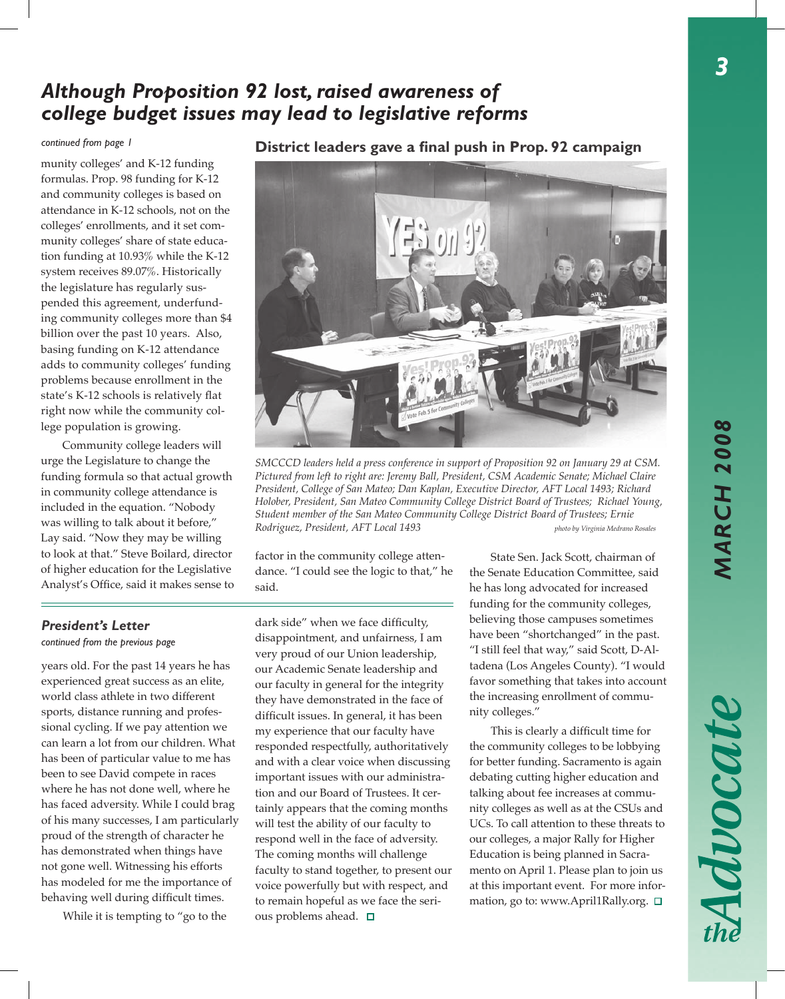3

# *Although Proposition 92 lost, raised awareness of college budget issues may lead to legislative reforms*

munity colleges' and K-12 funding formulas. Prop. 98 funding for K-12 and community colleges is based on attendance in K-12 schools, not on the colleges' enrollments, and it set community colleges' share of state education funding at 10.93% while the K-12 system receives 89.07%. Historically the legislature has regularly suspended this agreement, underfunding community colleges more than \$4 billion over the past 10 years. Also, basing funding on K-12 attendance adds to community colleges' funding problems because enrollment in the state's K-12 schools is relatively flat right now while the community college population is growing.

Community college leaders will urge the Legislature to change the funding formula so that actual growth in community college attendance is included in the equation. "Nobody was willing to talk about it before," Lay said. "Now they may be willing to look at that." Steve Boilard, director of higher education for the Legislative Analyst's Office, said it makes sense to

## **District leaders gave a final push in Prop. 92 campaign** *continued from page 1*



*SMCCCD leaders held a press conference in support of Proposition 92 on January 29 at CSM. Pictured from left to right are: Jeremy Ball, President, CSM Academic Senate; Michael Claire President, College of San Mateo; Dan Kaplan, Executive Director, AFT Local 1493; Richard Holober, President, San Mateo Community College District Board of Trustees; Richael Young, Student member of the San Mateo Community College District Board of Trustees; Ernie Rodriguez, President, AFT Local 1493 photo by Virginia Medrano Rosales*

factor in the community college attendance. "I could see the logic to that," he said.

### *President's Letter*

*continued from the previous page*

years old. For the past 14 years he has experienced great success as an elite, world class athlete in two different sports, distance running and professional cycling. If we pay attention we can learn a lot from our children. What has been of particular value to me has been to see David compete in races where he has not done well, where he has faced adversity. While I could brag of his many successes, I am particularly proud of the strength of character he has demonstrated when things have not gone well. Witnessing his efforts has modeled for me the importance of behaving well during difficult times.

While it is tempting to "go to the

dark side" when we face difficulty, disappointment, and unfairness, I am very proud of our Union leadership, our Academic Senate leadership and our faculty in general for the integrity they have demonstrated in the face of difficult issues. In general, it has been my experience that our faculty have responded respectfully, authoritatively and with a clear voice when discussing important issues with our administration and our Board of Trustees. It certainly appears that the coming months will test the ability of our faculty to respond well in the face of adversity. The coming months will challenge faculty to stand together, to present our voice powerfully but with respect, and to remain hopeful as we face the serious problems ahead.  $\square$ 

State Sen. Jack Scott, chairman of the Senate Education Committee, said he has long advocated for increased funding for the community colleges, believing those campuses sometimes have been "shortchanged" in the past. "I still feel that way," said Scott, D-Altadena (Los Angeles County). "I would favor something that takes into account the increasing enrollment of community colleges."

This is clearly a difficult time for the community colleges to be lobbying for better funding. Sacramento is again debating cutting higher education and talking about fee increases at community colleges as well as at the CSUs and UCs. To call attention to these threats to our colleges, a major Rally for Higher Education is being planned in Sacramento on April 1. Please plan to join us at this important event. For more information, go to: www.April1Rally.org.  $\square$ 

Advocate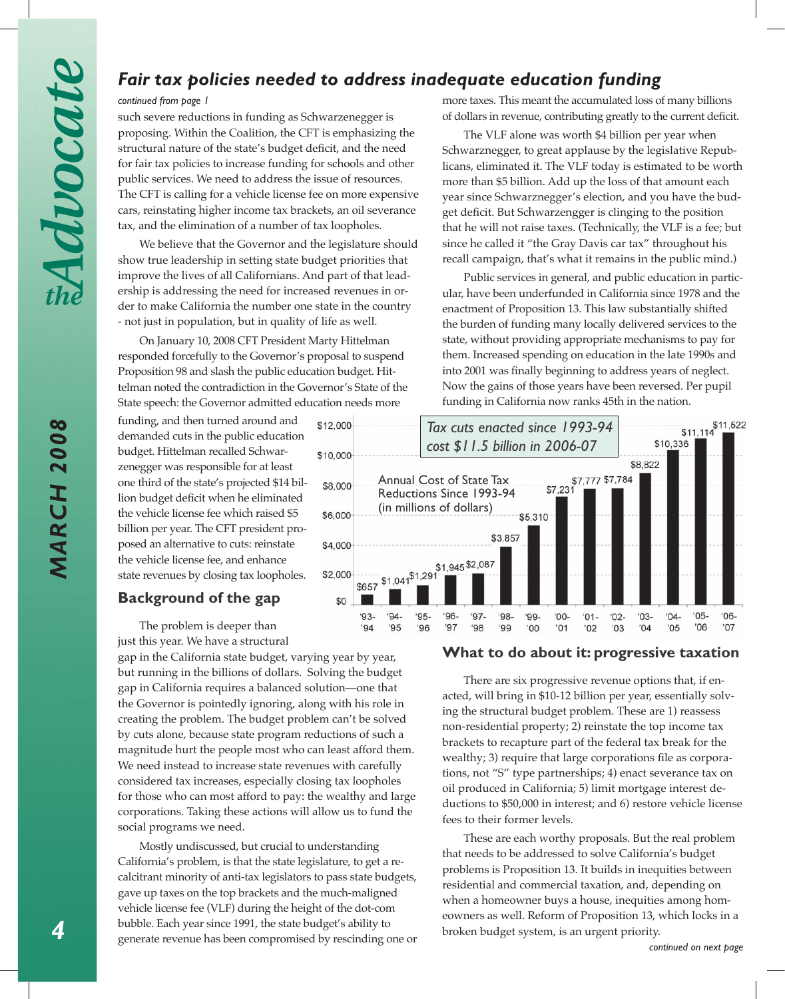## *Fair tax policies needed to address inadequate education funding*

### *continued from page 1*

such severe reductions in funding as Schwarzenegger is proposing. Within the Coalition, the CFT is emphasizing the structural nature of the state's budget deficit, and the need for fair tax policies to increase funding for schools and other public services. We need to address the issue of resources. The CFT is calling for a vehicle license fee on more expensive cars, reinstating higher income tax brackets, an oil severance tax, and the elimination of a number of tax loopholes.

We believe that the Governor and the legislature should show true leadership in setting state budget priorities that improve the lives of all Californians. And part of that leadership is addressing the need for increased revenues in order to make California the number one state in the country - not just in population, but in quality of life as well.

On January 10, 2008 CFT President Marty Hittelman responded forcefully to the Governor's proposal to suspend Proposition 98 and slash the public education budget. Hittelman noted the contradiction in the Governor's State of the State speech: the Governor admitted education needs more

funding, and then turned around and demanded cuts in the public education budget. Hittelman recalled Schwarzenegger was responsible for at least one third of the state's projected \$14 billion budget deficit when he eliminated the vehicle license fee which raised \$5 billion per year. The CFT president proposed an alternative to cuts: reinstate the vehicle license fee, and enhance state revenues by closing tax loopholes.

### **Background of the gap**

The problem is deeper than just this year. We have a structural

gap in the California state budget, varying year by year, but running in the billions of dollars. Solving the budget gap in California requires a balanced solution—one that the Governor is pointedly ignoring, along with his role in creating the problem. The budget problem can't be solved by cuts alone, because state program reductions of such a magnitude hurt the people most who can least afford them. We need instead to increase state revenues with carefully considered tax increases, especially closing tax loopholes for those who can most afford to pay: the wealthy and large corporations. Taking these actions will allow us to fund the social programs we need.

Mostly undiscussed, but crucial to understanding California's problem, is that the state legislature, to get a recalcitrant minority of anti-tax legislators to pass state budgets, gave up taxes on the top brackets and the much-maligned vehicle license fee (VLF) during the height of the dot-com bubble. Each year since 1991, the state budget's ability to generate revenue has been compromised by rescinding one or more taxes. This meant the accumulated loss of many billions of dollars in revenue, contributing greatly to the current deficit.

The VLF alone was worth \$4 billion per year when Schwarznegger, to great applause by the legislative Republicans, eliminated it. The VLF today is estimated to be worth more than \$5 billion. Add up the loss of that amount each year since Schwarznegger's election, and you have the budget deficit. But Schwarzengger is clinging to the position that he will not raise taxes. (Technically, the VLF is a fee; but since he called it "the Gray Davis car tax" throughout his recall campaign, that's what it remains in the public mind.)

Public services in general, and public education in particular, have been underfunded in California since 1978 and the enactment of Proposition 13. This law substantially shifted the burden of funding many locally delivered services to the state, without providing appropriate mechanisms to pay for them. Increased spending on education in the late 1990s and into 2001 was finally beginning to address years of neglect. Now the gains of those years have been reversed. Per pupil funding in California now ranks 45th in the nation.



### **What to do about it: progressive taxation**

There are six progressive revenue options that, if enacted, will bring in \$10-12 billion per year, essentially solving the structural budget problem. These are 1) reassess non-residential property; 2) reinstate the top income tax brackets to recapture part of the federal tax break for the wealthy; 3) require that large corporations file as corporations, not "S" type partnerships; 4) enact severance tax on oil produced in California; 5) limit mortgage interest deductions to \$50,000 in interest; and 6) restore vehicle license fees to their former levels.

These are each worthy proposals. But the real problem that needs to be addressed to solve California's budget problems is Proposition 13. It builds in inequities between residential and commercial taxation, and, depending on when a homeowner buys a house, inequities among homeowners as well. Reform of Proposition 13, which locks in a broken budget system, is an urgent priority.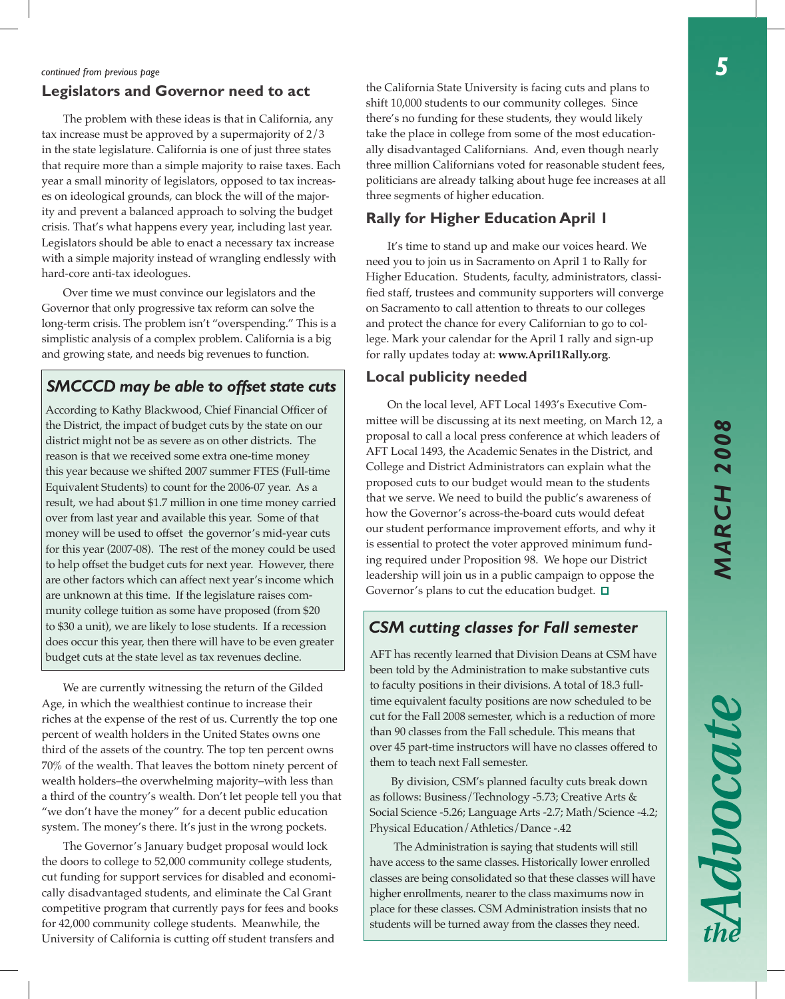Advocate

### *continued from previous page*

### **Legislators and Governor need to act**

The problem with these ideas is that in California, any tax increase must be approved by a supermajority of 2/3 in the state legislature. California is one of just three states that require more than a simple majority to raise taxes. Each year a small minority of legislators, opposed to tax increases on ideological grounds, can block the will of the majority and prevent a balanced approach to solving the budget crisis. That's what happens every year, including last year. Legislators should be able to enact a necessary tax increase with a simple majority instead of wrangling endlessly with hard-core anti-tax ideologues.

Over time we must convince our legislators and the Governor that only progressive tax reform can solve the long-term crisis. The problem isn't "overspending." This is a simplistic analysis of a complex problem. California is a big and growing state, and needs big revenues to function.

### *SMCCCD may be able to offset state cuts*

According to Kathy Blackwood, Chief Financial Officer of the District, the impact of budget cuts by the state on our district might not be as severe as on other districts. The reason is that we received some extra one-time money this year because we shifted 2007 summer FTES (Full-time Equivalent Students) to count for the 2006-07 year. As a result, we had about \$1.7 million in one time money carried over from last year and available this year. Some of that money will be used to offset the governor's mid-year cuts for this year (2007-08). The rest of the money could be used to help offset the budget cuts for next year. However, there are other factors which can affect next year's income which are unknown at this time. If the legislature raises community college tuition as some have proposed (from \$20 to \$30 a unit), we are likely to lose students. If a recession does occur this year, then there will have to be even greater budget cuts at the state level as tax revenues decline. AFT has recently learned that Division Deans at CSM have

We are currently witnessing the return of the Gilded Age, in which the wealthiest continue to increase their riches at the expense of the rest of us. Currently the top one percent of wealth holders in the United States owns one third of the assets of the country. The top ten percent owns 70% of the wealth. That leaves the bottom ninety percent of wealth holders–the overwhelming majority–with less than a third of the country's wealth. Don't let people tell you that "we don't have the money" for a decent public education system. The money's there. It's just in the wrong pockets.

The Governor's January budget proposal would lock the doors to college to 52,000 community college students, cut funding for support services for disabled and economically disadvantaged students, and eliminate the Cal Grant competitive program that currently pays for fees and books for 42,000 community college students. Meanwhile, the University of California is cutting off student transfers and

the California State University is facing cuts and plans to shift 10,000 students to our community colleges. Since there's no funding for these students, they would likely take the place in college from some of the most educationally disadvantaged Californians. And, even though nearly three million Californians voted for reasonable student fees, politicians are already talking about huge fee increases at all three segments of higher education.

### **Rally for Higher Education April 1**

It's time to stand up and make our voices heard. We need you to join us in Sacramento on April 1 to Rally for Higher Education. Students, faculty, administrators, classified staff, trustees and community supporters will converge on Sacramento to call attention to threats to our colleges and protect the chance for every Californian to go to college. Mark your calendar for the April 1 rally and sign-up for rally updates today at: **www.April1Rally.org**.

### **Local publicity needed**

On the local level, AFT Local 1493's Executive Committee will be discussing at its next meeting, on March 12, a proposal to call a local press conference at which leaders of AFT Local 1493, the Academic Senates in the District, and College and District Administrators can explain what the proposed cuts to our budget would mean to the students that we serve. We need to build the public's awareness of how the Governor's across-the-board cuts would defeat our student performance improvement efforts, and why it is essential to protect the voter approved minimum funding required under Proposition 98. We hope our District leadership will join us in a public campaign to oppose the Governor's plans to cut the education budget.  $\Box$ 

### *CSM cutting classes for Fall semester*

been told by the Administration to make substantive cuts to faculty positions in their divisions. A total of 18.3 fulltime equivalent faculty positions are now scheduled to be cut for the Fall 2008 semester, which is a reduction of more than 90 classes from the Fall schedule. This means that over 45 part-time instructors will have no classes offered to them to teach next Fall semester.

By division, CSM's planned faculty cuts break down as follows: Business/Technology -5.73; Creative Arts & Social Science -5.26; Language Arts -2.7; Math/Science -4.2; Physical Education/Athletics/Dance -.42

 The Administration is saying that students will still have access to the same classes. Historically lower enrolled classes are being consolidated so that these classes will have higher enrollments, nearer to the class maximums now in place for these classes. CSM Administration insists that no students will be turned away from the classes they need.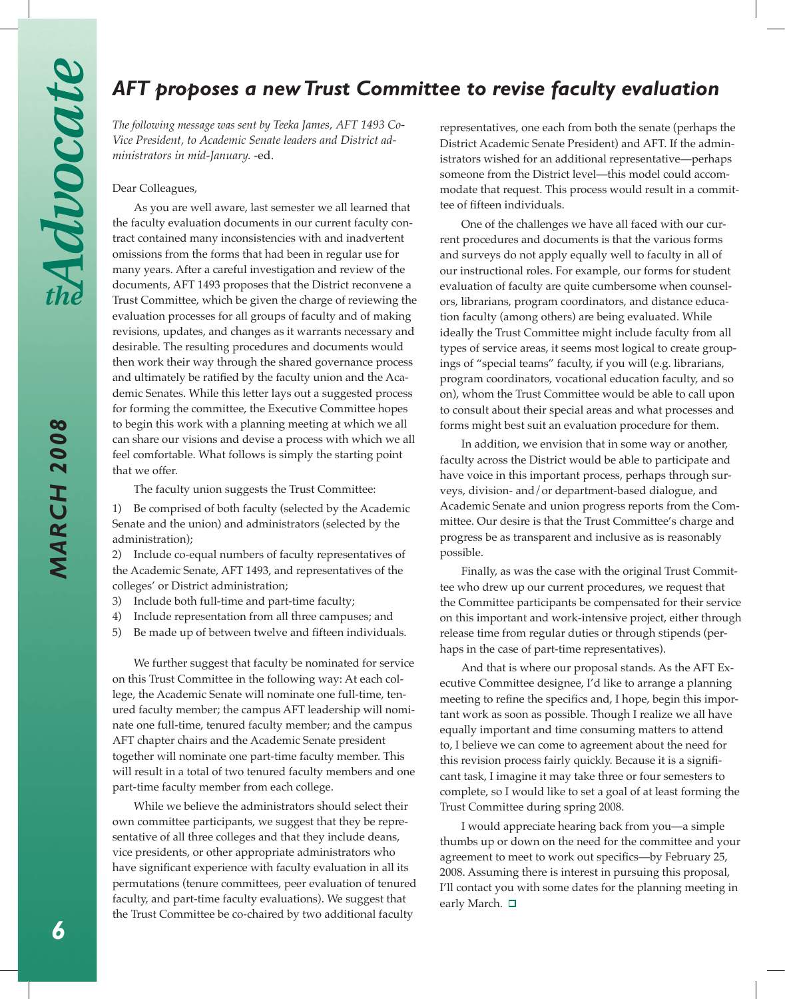*MARCH 2008*

**MARCH 2008** 

# *AFT proposes a new Trust Committee to revise faculty evaluation*

*The following message was sent by Teeka James, AFT 1493 Co-Vice President, to Academic Senate leaders and District administrators in mid-January.* -ed.

### Dear Colleagues,

As you are well aware, last semester we all learned that the faculty evaluation documents in our current faculty contract contained many inconsistencies with and inadvertent omissions from the forms that had been in regular use for many years. After a careful investigation and review of the documents, AFT 1493 proposes that the District reconvene a Trust Committee, which be given the charge of reviewing the evaluation processes for all groups of faculty and of making revisions, updates, and changes as it warrants necessary and desirable. The resulting procedures and documents would then work their way through the shared governance process and ultimately be ratified by the faculty union and the Academic Senates. While this letter lays out a suggested process for forming the committee, the Executive Committee hopes to begin this work with a planning meeting at which we all can share our visions and devise a process with which we all feel comfortable. What follows is simply the starting point that we offer.

The faculty union suggests the Trust Committee:

1) Be comprised of both faculty (selected by the Academic Senate and the union) and administrators (selected by the administration);

2) Include co-equal numbers of faculty representatives of the Academic Senate, AFT 1493, and representatives of the colleges' or District administration;

- 3) Include both full-time and part-time faculty;
- 4) Include representation from all three campuses; and
- 5) Be made up of between twelve and fifteen individuals.

We further suggest that faculty be nominated for service on this Trust Committee in the following way: At each college, the Academic Senate will nominate one full-time, tenured faculty member; the campus AFT leadership will nominate one full-time, tenured faculty member; and the campus AFT chapter chairs and the Academic Senate president together will nominate one part-time faculty member. This will result in a total of two tenured faculty members and one part-time faculty member from each college.

While we believe the administrators should select their own committee participants, we suggest that they be representative of all three colleges and that they include deans, vice presidents, or other appropriate administrators who have significant experience with faculty evaluation in all its permutations (tenure committees, peer evaluation of tenured faculty, and part-time faculty evaluations). We suggest that the Trust Committee be co-chaired by two additional faculty

representatives, one each from both the senate (perhaps the District Academic Senate President) and AFT. If the administrators wished for an additional representative—perhaps someone from the District level—this model could accommodate that request. This process would result in a committee of fifteen individuals.

One of the challenges we have all faced with our current procedures and documents is that the various forms and surveys do not apply equally well to faculty in all of our instructional roles. For example, our forms for student evaluation of faculty are quite cumbersome when counselors, librarians, program coordinators, and distance education faculty (among others) are being evaluated. While ideally the Trust Committee might include faculty from all types of service areas, it seems most logical to create groupings of "special teams" faculty, if you will (e.g. librarians, program coordinators, vocational education faculty, and so on), whom the Trust Committee would be able to call upon to consult about their special areas and what processes and forms might best suit an evaluation procedure for them.

In addition, we envision that in some way or another, faculty across the District would be able to participate and have voice in this important process, perhaps through surveys, division- and/or department-based dialogue, and Academic Senate and union progress reports from the Committee. Our desire is that the Trust Committee's charge and progress be as transparent and inclusive as is reasonably possible.

Finally, as was the case with the original Trust Committee who drew up our current procedures, we request that the Committee participants be compensated for their service on this important and work-intensive project, either through release time from regular duties or through stipends (perhaps in the case of part-time representatives).

And that is where our proposal stands. As the AFT Executive Committee designee, I'd like to arrange a planning meeting to refine the specifics and, I hope, begin this important work as soon as possible. Though I realize we all have equally important and time consuming matters to attend to, I believe we can come to agreement about the need for this revision process fairly quickly. Because it is a significant task, I imagine it may take three or four semesters to complete, so I would like to set a goal of at least forming the Trust Committee during spring 2008.

I would appreciate hearing back from you—a simple thumbs up or down on the need for the committee and your agreement to meet to work out specifics—by February 25, 2008. Assuming there is interest in pursuing this proposal, I'll contact you with some dates for the planning meeting in early March. □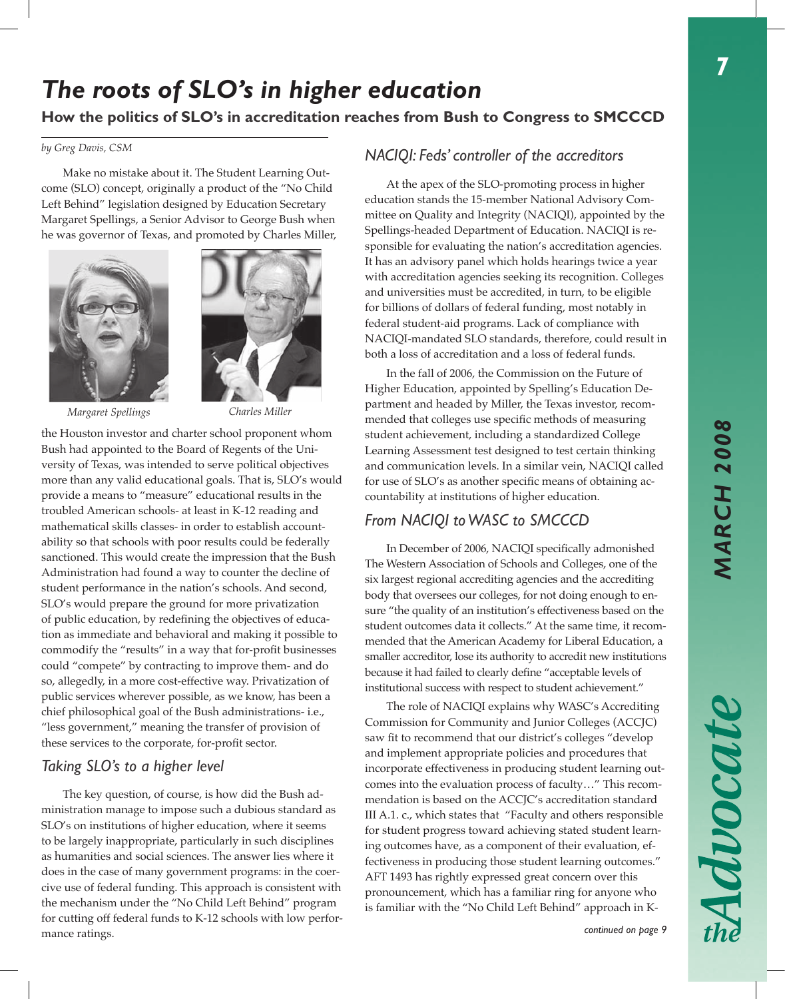7

# *The roots of SLO's in higher education*

## **How the politics of SLO's in accreditation reaches from Bush to Congress to SMCCCD**

### *by Greg Davis, CSM*

Make no mistake about it. The Student Learning Outcome (SLO) concept, originally a product of the "No Child Left Behind" legislation designed by Education Secretary Margaret Spellings, a Senior Advisor to George Bush when he was governor of Texas, and promoted by Charles Miller,



*Margaret Spellings Charles Miller*



the Houston investor and charter school proponent whom Bush had appointed to the Board of Regents of the University of Texas, was intended to serve political objectives more than any valid educational goals. That is, SLO's would provide a means to "measure" educational results in the troubled American schools- at least in K-12 reading and mathematical skills classes- in order to establish accountability so that schools with poor results could be federally sanctioned. This would create the impression that the Bush Administration had found a way to counter the decline of student performance in the nation's schools. And second, SLO's would prepare the ground for more privatization of public education, by redefining the objectives of education as immediate and behavioral and making it possible to commodify the "results" in a way that for-profit businesses could "compete" by contracting to improve them- and do so, allegedly, in a more cost-effective way. Privatization of public services wherever possible, as we know, has been a chief philosophical goal of the Bush administrations- i.e., "less government," meaning the transfer of provision of these services to the corporate, for-profit sector.

## *Taking SLO's to a higher level*

The key question, of course, is how did the Bush administration manage to impose such a dubious standard as SLO's on institutions of higher education, where it seems to be largely inappropriate, particularly in such disciplines as humanities and social sciences. The answer lies where it does in the case of many government programs: in the coercive use of federal funding. This approach is consistent with the mechanism under the "No Child Left Behind" program for cutting off federal funds to K-12 schools with low performance ratings.

## *NACIQI: Feds' controller of the accreditors*

At the apex of the SLO-promoting process in higher education stands the 15-member National Advisory Committee on Quality and Integrity (NACIQI), appointed by the Spellings-headed Department of Education. NACIQI is responsible for evaluating the nation's accreditation agencies. It has an advisory panel which holds hearings twice a year with accreditation agencies seeking its recognition. Colleges and universities must be accredited, in turn, to be eligible for billions of dollars of federal funding, most notably in federal student-aid programs. Lack of compliance with NACIQI-mandated SLO standards, therefore, could result in both a loss of accreditation and a loss of federal funds.

In the fall of 2006, the Commission on the Future of Higher Education, appointed by Spelling's Education Department and headed by Miller, the Texas investor, recommended that colleges use specific methods of measuring student achievement, including a standardized College Learning Assessment test designed to test certain thinking and communication levels. In a similar vein, NACIQI called for use of SLO's as another specific means of obtaining accountability at institutions of higher education.

## *From NACIQI to WASC to SMCCCD*

In December of 2006, NACIQI specifically admonished The Western Association of Schools and Colleges, one of the six largest regional accrediting agencies and the accrediting body that oversees our colleges, for not doing enough to ensure "the quality of an institution's effectiveness based on the student outcomes data it collects." At the same time, it recommended that the American Academy for Liberal Education, a smaller accreditor, lose its authority to accredit new institutions because it had failed to clearly define "acceptable levels of institutional success with respect to student achievement."

The role of NACIQI explains why WASC's Accrediting Commission for Community and Junior Colleges (ACCJC) saw fit to recommend that our district's colleges "develop and implement appropriate policies and procedures that incorporate effectiveness in producing student learning outcomes into the evaluation process of faculty…" This recommendation is based on the ACCJC's accreditation standard III A.1. c., which states that "Faculty and others responsible for student progress toward achieving stated student learning outcomes have, as a component of their evaluation, effectiveness in producing those student learning outcomes." AFT 1493 has rightly expressed great concern over this pronouncement, which has a familiar ring for anyone who is familiar with the "No Child Left Behind" approach in K-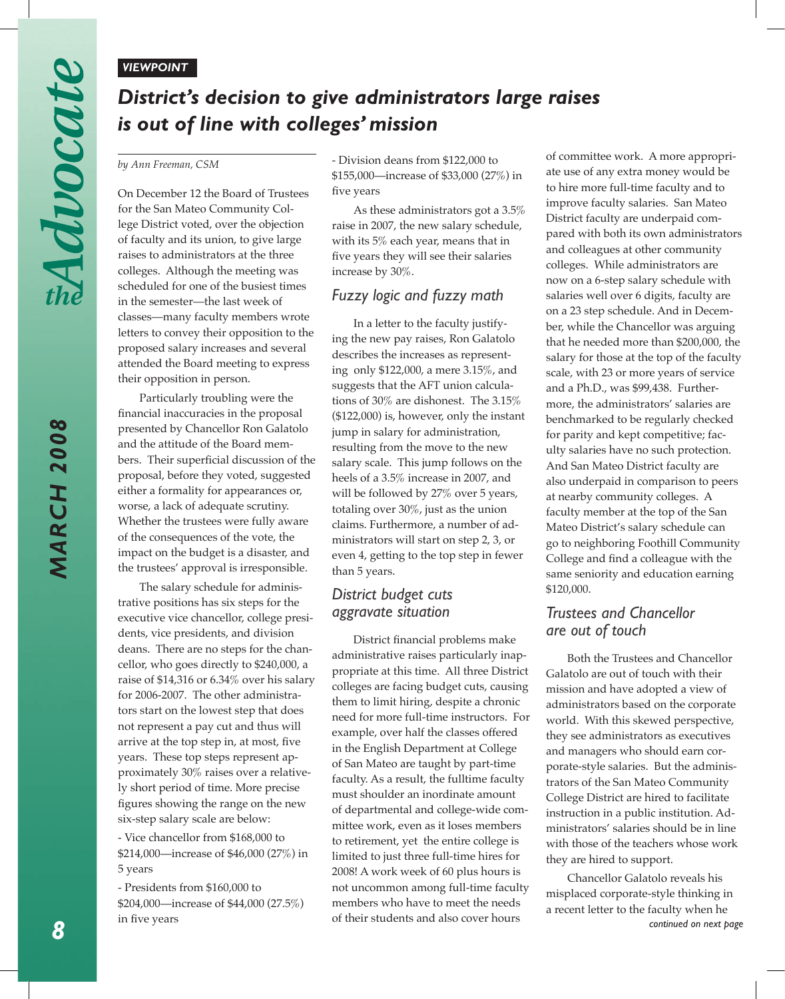### *VIEWPOINT*

# *District's decision to give administrators large raises is out of line with colleges' mission*

### *by Ann Freeman, CSM*

On December 12 the Board of Trustees for the San Mateo Community College District voted, over the objection of faculty and its union, to give large raises to administrators at the three colleges. Although the meeting was scheduled for one of the busiest times in the semester—the last week of classes—many faculty members wrote letters to convey their opposition to the proposed salary increases and several attended the Board meeting to express their opposition in person.

Particularly troubling were the financial inaccuracies in the proposal presented by Chancellor Ron Galatolo and the attitude of the Board members. Their superficial discussion of the proposal, before they voted, suggested either a formality for appearances or, worse, a lack of adequate scrutiny. Whether the trustees were fully aware of the consequences of the vote, the impact on the budget is a disaster, and the trustees' approval is irresponsible.

The salary schedule for administrative positions has six steps for the executive vice chancellor, college presidents, vice presidents, and division deans. There are no steps for the chancellor, who goes directly to \$240,000, a raise of \$14,316 or 6.34% over his salary for 2006-2007. The other administrators start on the lowest step that does not represent a pay cut and thus will arrive at the top step in, at most, five years. These top steps represent approximately 30% raises over a relatively short period of time. More precise figures showing the range on the new six-step salary scale are below:

- Vice chancellor from \$168,000 to \$214,000—increase of \$46,000 (27%) in 5 years

- Presidents from \$160,000 to \$204,000—increase of \$44,000 (27.5%) in five years

- Division deans from \$122,000 to \$155,000—increase of \$33,000 (27%) in five years

As these administrators got a 3.5% raise in 2007, the new salary schedule, with its 5% each year, means that in five years they will see their salaries increase by 30%.

## *Fuzzy logic and fuzzy math*

In a letter to the faculty justifying the new pay raises, Ron Galatolo describes the increases as representing only \$122,000, a mere 3.15%, and suggests that the AFT union calculations of 30% are dishonest. The 3.15% (\$122,000) is, however, only the instant jump in salary for administration, resulting from the move to the new salary scale. This jump follows on the heels of a 3.5% increase in 2007, and will be followed by 27% over 5 years, totaling over 30%, just as the union claims. Furthermore, a number of administrators will start on step 2, 3, or even 4, getting to the top step in fewer than 5 years.

## *District budget cuts aggravate situation*

District financial problems make administrative raises particularly inappropriate at this time. All three District colleges are facing budget cuts, causing them to limit hiring, despite a chronic need for more full-time instructors. For example, over half the classes offered in the English Department at College of San Mateo are taught by part-time faculty. As a result, the fulltime faculty must shoulder an inordinate amount of departmental and college-wide committee work, even as it loses members to retirement, yet the entire college is limited to just three full-time hires for 2008! A work week of 60 plus hours is not uncommon among full-time faculty members who have to meet the needs of their students and also cover hours

of committee work. A more appropriate use of any extra money would be to hire more full-time faculty and to improve faculty salaries. San Mateo District faculty are underpaid compared with both its own administrators and colleagues at other community colleges. While administrators are now on a 6-step salary schedule with salaries well over 6 digits, faculty are on a 23 step schedule. And in December, while the Chancellor was arguing that he needed more than \$200,000, the salary for those at the top of the faculty scale, with 23 or more years of service and a Ph.D., was \$99,438. Furthermore, the administrators' salaries are benchmarked to be regularly checked for parity and kept competitive; faculty salaries have no such protection. And San Mateo District faculty are also underpaid in comparison to peers at nearby community colleges. A faculty member at the top of the San Mateo District's salary schedule can go to neighboring Foothill Community College and find a colleague with the same seniority and education earning \$120,000.

## *Trustees and Chancellor are out of touch*

Both the Trustees and Chancellor Galatolo are out of touch with their mission and have adopted a view of administrators based on the corporate world. With this skewed perspective, they see administrators as executives and managers who should earn corporate-style salaries. But the administrators of the San Mateo Community College District are hired to facilitate instruction in a public institution. Administrators' salaries should be in line with those of the teachers whose work they are hired to support.

Chancellor Galatolo reveals his misplaced corporate-style thinking in a recent letter to the faculty when he *continued on next page*

*MARCH 2008*

**MARCH 2008**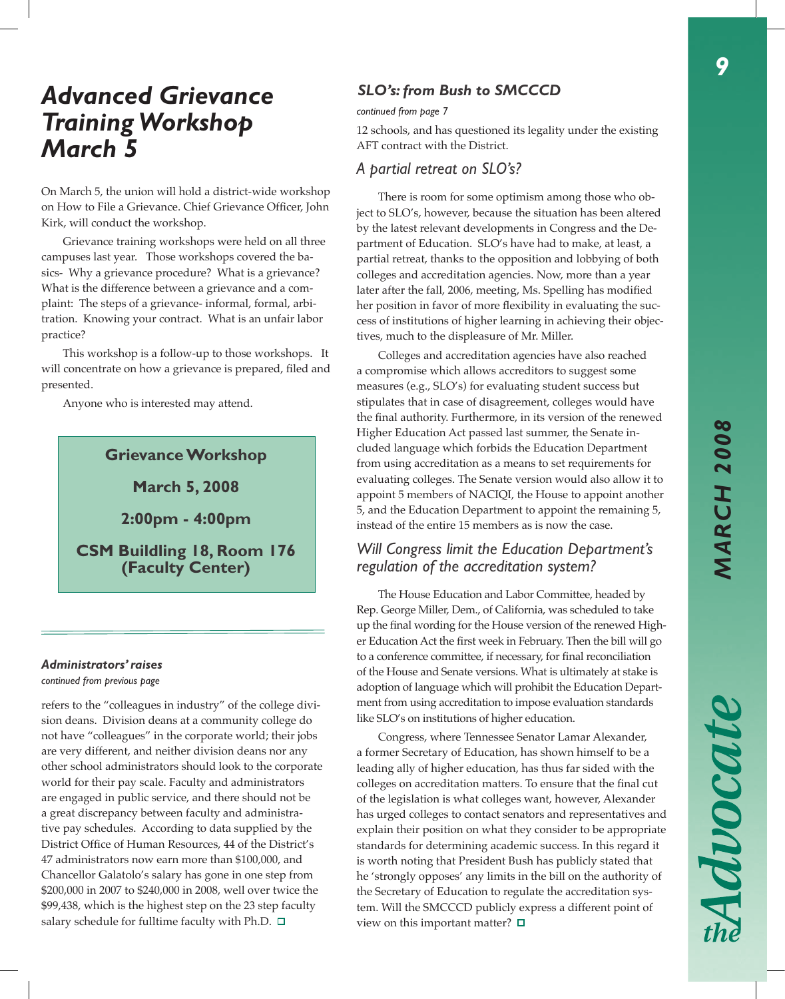Advocate

# *Advanced Grievance Training Workshop March 5*

On March 5, the union will hold a district-wide workshop on How to File a Grievance. Chief Grievance Officer, John Kirk, will conduct the workshop.

Grievance training workshops were held on all three campuses last year. Those workshops covered the basics- Why a grievance procedure? What is a grievance? What is the difference between a grievance and a complaint: The steps of a grievance- informal, formal, arbitration. Knowing your contract. What is an unfair labor practice?

This workshop is a follow-up to those workshops. It will concentrate on how a grievance is prepared, filed and presented.

Anyone who is interested may attend.

## **Grievance Workshop**

**March 5, 2008**

**2:00pm - 4:00pm**

**CSM Buildling 18, Room 176 (Faculty Center)**

### *Administrators' raises*

*continued from previous page*

refers to the "colleagues in industry" of the college division deans. Division deans at a community college do not have "colleagues" in the corporate world; their jobs are very different, and neither division deans nor any other school administrators should look to the corporate world for their pay scale. Faculty and administrators are engaged in public service, and there should not be a great discrepancy between faculty and administrative pay schedules. According to data supplied by the District Office of Human Resources, 44 of the District's 47 administrators now earn more than \$100,000, and Chancellor Galatolo's salary has gone in one step from \$200,000 in 2007 to \$240,000 in 2008, well over twice the \$99,438, which is the highest step on the 23 step faculty salary schedule for fulltime faculty with Ph.D.  $\Box$ 

## *SLO's: from Bush to SMCCCD*

*continued from page 7*

12 schools, and has questioned its legality under the existing AFT contract with the District.

## *A partial retreat on SLO's?*

There is room for some optimism among those who object to SLO's, however, because the situation has been altered by the latest relevant developments in Congress and the Department of Education. SLO's have had to make, at least, a partial retreat, thanks to the opposition and lobbying of both colleges and accreditation agencies. Now, more than a year later after the fall, 2006, meeting, Ms. Spelling has modified her position in favor of more flexibility in evaluating the success of institutions of higher learning in achieving their objectives, much to the displeasure of Mr. Miller.

Colleges and accreditation agencies have also reached a compromise which allows accreditors to suggest some measures (e.g., SLO's) for evaluating student success but stipulates that in case of disagreement, colleges would have the final authority. Furthermore, in its version of the renewed Higher Education Act passed last summer, the Senate included language which forbids the Education Department from using accreditation as a means to set requirements for evaluating colleges. The Senate version would also allow it to appoint 5 members of NACIQI, the House to appoint another 5, and the Education Department to appoint the remaining 5, instead of the entire 15 members as is now the case.

### *Will Congress limit the Education Department's regulation of the accreditation system?*

The House Education and Labor Committee, headed by Rep. George Miller, Dem., of California, was scheduled to take up the final wording for the House version of the renewed Higher Education Act the first week in February. Then the bill will go to a conference committee, if necessary, for final reconciliation of the House and Senate versions. What is ultimately at stake is adoption of language which will prohibit the Education Department from using accreditation to impose evaluation standards like SLO's on institutions of higher education.

Congress, where Tennessee Senator Lamar Alexander, a former Secretary of Education, has shown himself to be a leading ally of higher education, has thus far sided with the colleges on accreditation matters. To ensure that the final cut of the legislation is what colleges want, however, Alexander has urged colleges to contact senators and representatives and explain their position on what they consider to be appropriate standards for determining academic success. In this regard it is worth noting that President Bush has publicly stated that he 'strongly opposes' any limits in the bill on the authority of the Secretary of Education to regulate the accreditation system. Will the SMCCCD publicly express a different point of view on this important matter?  $\square$